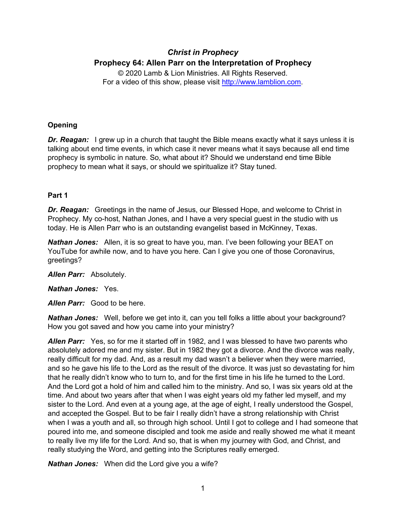# *Christ in Prophecy* **Prophecy 64: Allen Parr on the Interpretation of Prophecy**

© 2020 Lamb & Lion Ministries. All Rights Reserved. For a video of this show, please visit [http://www.lamblion.com.](http://www.lamblion.com/)

# **Opening**

**Dr. Reagan:** I grew up in a church that taught the Bible means exactly what it says unless it is talking about end time events, in which case it never means what it says because all end time prophecy is symbolic in nature. So, what about it? Should we understand end time Bible prophecy to mean what it says, or should we spiritualize it? Stay tuned.

# **Part 1**

*Dr. Reagan:* Greetings in the name of Jesus, our Blessed Hope, and welcome to Christ in Prophecy. My co-host, Nathan Jones, and I have a very special guest in the studio with us today. He is Allen Parr who is an outstanding evangelist based in McKinney, Texas.

*Nathan Jones:* Allen, it is so great to have you, man. I've been following your BEAT on YouTube for awhile now, and to have you here. Can I give you one of those Coronavirus, greetings?

*Allen Parr:* Absolutely.

*Nathan Jones:* Yes.

*Allen Parr:* Good to be here.

*Nathan Jones:* Well, before we get into it, can you tell folks a little about your background? How you got saved and how you came into your ministry?

*Allen Parr:* Yes, so for me it started off in 1982, and I was blessed to have two parents who absolutely adored me and my sister. But in 1982 they got a divorce. And the divorce was really, really difficult for my dad. And, as a result my dad wasn't a believer when they were married, and so he gave his life to the Lord as the result of the divorce. It was just so devastating for him that he really didn't know who to turn to, and for the first time in his life he turned to the Lord. And the Lord got a hold of him and called him to the ministry. And so, I was six years old at the time. And about two years after that when I was eight years old my father led myself, and my sister to the Lord. And even at a young age, at the age of eight, I really understood the Gospel, and accepted the Gospel. But to be fair I really didn't have a strong relationship with Christ when I was a youth and all, so through high school. Until I got to college and I had someone that poured into me, and someone discipled and took me aside and really showed me what it meant to really live my life for the Lord. And so, that is when my journey with God, and Christ, and really studying the Word, and getting into the Scriptures really emerged.

*Nathan Jones:* When did the Lord give you a wife?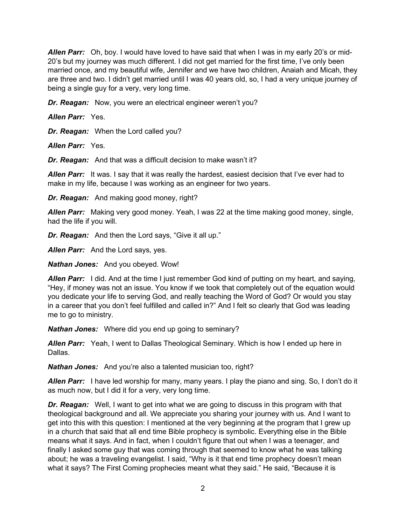*Allen Parr:* Oh, boy. I would have loved to have said that when I was in my early 20's or mid-20's but my journey was much different. I did not get married for the first time, I've only been married once, and my beautiful wife, Jennifer and we have two children, Anaiah and Micah, they are three and two. I didn't get married until I was 40 years old, so, I had a very unique journey of being a single guy for a very, very long time.

*Dr. Reagan:* Now, you were an electrical engineer weren't you?

*Allen Parr:* Yes.

*Dr. Reagan:* When the Lord called you?

*Allen Parr:* Yes.

*Dr. Reagan:* And that was a difficult decision to make wasn't it?

*Allen Parr:* It was. I say that it was really the hardest, easiest decision that I've ever had to make in my life, because I was working as an engineer for two years.

*Dr. Reagan:* And making good money, right?

*Allen Parr:* Making very good money. Yeah, I was 22 at the time making good money, single, had the life if you will.

*Dr. Reagan:* And then the Lord says, "Give it all up."

*Allen Parr:* And the Lord says, yes.

*Nathan Jones:* And you obeyed. Wow!

*Allen Parr:* I did. And at the time I just remember God kind of putting on my heart, and saying, "Hey, if money was not an issue. You know if we took that completely out of the equation would you dedicate your life to serving God, and really teaching the Word of God? Or would you stay in a career that you don't feel fulfilled and called in?" And I felt so clearly that God was leading me to go to ministry.

*Nathan Jones:* Where did you end up going to seminary?

*Allen Parr:* Yeah, I went to Dallas Theological Seminary. Which is how I ended up here in Dallas.

*Nathan Jones:* And you're also a talented musician too, right?

*Allen Parr:* I have led worship for many, many years. I play the piano and sing. So, I don't do it as much now, but I did it for a very, very long time.

**Dr. Reagan:** Well, I want to get into what we are going to discuss in this program with that theological background and all. We appreciate you sharing your journey with us. And I want to get into this with this question: I mentioned at the very beginning at the program that I grew up in a church that said that all end time Bible prophecy is symbolic. Everything else in the Bible means what it says. And in fact, when I couldn't figure that out when I was a teenager, and finally I asked some guy that was coming through that seemed to know what he was talking about; he was a traveling evangelist. I said, "Why is it that end time prophecy doesn't mean what it says? The First Coming prophecies meant what they said." He said, "Because it is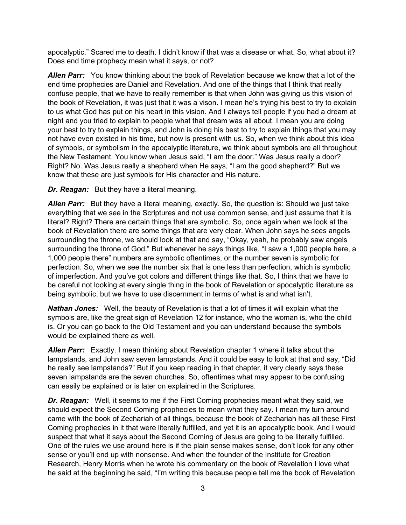apocalyptic." Scared me to death. I didn't know if that was a disease or what. So, what about it? Does end time prophecy mean what it says, or not?

*Allen Parr:* You know thinking about the book of Revelation because we know that a lot of the end time prophecies are Daniel and Revelation. And one of the things that I think that really confuse people, that we have to really remember is that when John was giving us this vision of the book of Revelation, it was just that it was a vison. I mean he's trying his best to try to explain to us what God has put on his heart in this vision. And I always tell people if you had a dream at night and you tried to explain to people what that dream was all about. I mean you are doing your best to try to explain things, and John is doing his best to try to explain things that you may not have even existed in his time, but now is present with us. So, when we think about this idea of symbols, or symbolism in the apocalyptic literature, we think about symbols are all throughout the New Testament. You know when Jesus said, "I am the door." Was Jesus really a door? Right? No. Was Jesus really a shepherd when He says, "I am the good shepherd?" But we know that these are just symbols for His character and His nature.

*Dr. Reagan:* But they have a literal meaning.

*Allen Parr:* But they have a literal meaning, exactly. So, the question is: Should we just take everything that we see in the Scriptures and not use common sense, and just assume that it is literal? Right? There are certain things that are symbolic. So, once again when we look at the book of Revelation there are some things that are very clear. When John says he sees angels surrounding the throne, we should look at that and say, "Okay, yeah, he probably saw angels surrounding the throne of God." But whenever he says things like, "I saw a 1,000 people here, a 1,000 people there" numbers are symbolic oftentimes, or the number seven is symbolic for perfection. So, when we see the number six that is one less than perfection, which is symbolic of imperfection. And you've got colors and different things like that. So, I think that we have to be careful not looking at every single thing in the book of Revelation or apocalyptic literature as being symbolic, but we have to use discernment in terms of what is and what isn't.

*Nathan Jones:* Well, the beauty of Revelation is that a lot of times it will explain what the symbols are, like the great sign of Revelation 12 for instance, who the woman is, who the child is. Or you can go back to the Old Testament and you can understand because the symbols would be explained there as well.

*Allen Parr:* Exactly. I mean thinking about Revelation chapter 1 where it talks about the lampstands, and John saw seven lampstands. And it could be easy to look at that and say, "Did he really see lampstands?" But if you keep reading in that chapter, it very clearly says these seven lampstands are the seven churches. So, oftentimes what may appear to be confusing can easily be explained or is later on explained in the Scriptures.

*Dr. Reagan:* Well, it seems to me if the First Coming prophecies meant what they said, we should expect the Second Coming prophecies to mean what they say. I mean my turn around came with the book of Zechariah of all things, because the book of Zechariah has all these First Coming prophecies in it that were literally fulfilled, and yet it is an apocalyptic book. And I would suspect that what it says about the Second Coming of Jesus are going to be literally fulfilled. One of the rules we use around here is if the plain sense makes sense, don't look for any other sense or you'll end up with nonsense. And when the founder of the Institute for Creation Research, Henry Morris when he wrote his commentary on the book of Revelation I love what he said at the beginning he said, "I'm writing this because people tell me the book of Revelation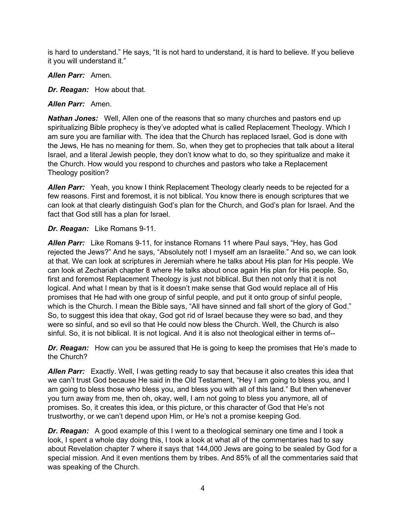is hard to understand." He says, "It is not hard to understand, it is hard to believe. If you believe it you will understand it."

*Allen Parr:* Amen.

*Dr. Reagan:* How about that.

*Allen Parr:* Amen.

*Nathan Jones:* Well, Allen one of the reasons that so many churches and pastors end up spiritualizing Bible prophecy is they've adopted what is called Replacement Theology. Which I am sure you are familiar with. The idea that the Church has replaced Israel, God is done with the Jews, He has no meaning for them. So, when they get to prophecies that talk about a literal Israel, and a literal Jewish people, they don't know what to do, so they spiritualize and make it the Church. How would you respond to churches and pastors who take a Replacement Theology position?

*Allen Parr:* Yeah, you know I think Replacement Theology clearly needs to be rejected for a few reasons. First and foremost, it is not biblical. You know there is enough scriptures that we can look at that clearly distinguish God's plan for the Church, and God's plan for Israel. And the fact that God still has a plan for Israel.

#### *Dr. Reagan:* Like Romans 9-11.

*Allen Parr:* Like Romans 9-11, for instance Romans 11 where Paul says, "Hey, has God rejected the Jews?" And he says, "Absolutely not! I myself am an Israelite." And so, we can look at that. We can look at scriptures in Jeremiah where he talks about His plan for His people. We can look at Zechariah chapter 8 where He talks about once again His plan for His people. So, first and foremost Replacement Theology is just not biblical. But then not only that it is not logical. And what I mean by that is it doesn't make sense that God would replace all of His promises that He had with one group of sinful people, and put it onto group of sinful people, which is the Church. I mean the Bible says, "All have sinned and fall short of the glory of God." So, to suggest this idea that okay, God got rid of Israel because they were so bad, and they were so sinful, and so evil so that He could now bless the Church. Well, the Church is also sinful. So, it is not biblical. It is not logical. And it is also not theological either in terms of--

*Dr. Reagan:* How can you be assured that He is going to keep the promises that He's made to the Church?

*Allen Parr:* Exactly. Well, I was getting ready to say that because it also creates this idea that we can't trust God because He said in the Old Testament, "Hey I am going to bless you, and I am going to bless those who bless you, and bless you with all of this land." But then whenever you turn away from me, then oh, okay, well, I am not going to bless you anymore, all of promises. So, it creates this idea, or this picture, or this character of God that He's not trustworthy, or we can't depend upon Him, or He's not a promise keeping God.

*Dr. Reagan:* A good example of this I went to a theological seminary one time and I took a look, I spent a whole day doing this, I took a look at what all of the commentaries had to say about Revelation chapter 7 where it says that 144,000 Jews are going to be sealed by God for a special mission. And it even mentions them by tribes. And 85% of all the commentaries said that was speaking of the Church.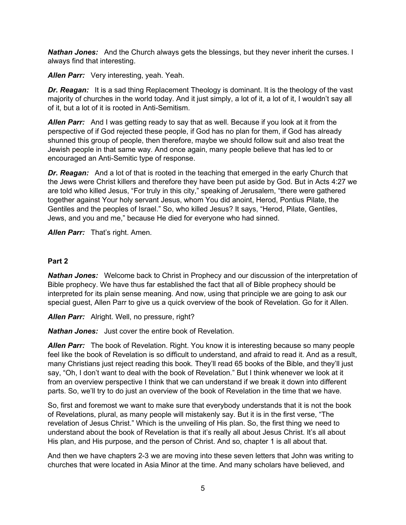**Nathan Jones:** And the Church always gets the blessings, but they never inherit the curses. I always find that interesting.

*Allen Parr:* Very interesting, yeah. Yeah.

**Dr. Reagan:** It is a sad thing Replacement Theology is dominant. It is the theology of the vast majority of churches in the world today. And it just simply, a lot of it, a lot of it, I wouldn't say all of it, but a lot of it is rooted in Anti-Semitism.

*Allen Parr:* And I was getting ready to say that as well. Because if you look at it from the perspective of if God rejected these people, if God has no plan for them, if God has already shunned this group of people, then therefore, maybe we should follow suit and also treat the Jewish people in that same way. And once again, many people believe that has led to or encouraged an Anti-Semitic type of response.

*Dr. Reagan:* And a lot of that is rooted in the teaching that emerged in the early Church that the Jews were Christ killers and therefore they have been put aside by God. But in Acts 4:27 we are told who killed Jesus, "For truly in this city," speaking of Jerusalem, "there were gathered together against Your holy servant Jesus, whom You did anoint, Herod, Pontius Pilate, the Gentiles and the peoples of Israel." So, who killed Jesus? It says, "Herod, Pilate, Gentiles, Jews, and you and me," because He died for everyone who had sinned.

*Allen Parr:* That's right. Amen.

### **Part 2**

*Nathan Jones:* Welcome back to Christ in Prophecy and our discussion of the interpretation of Bible prophecy. We have thus far established the fact that all of Bible prophecy should be interpreted for its plain sense meaning. And now, using that principle we are going to ask our special guest, Allen Parr to give us a quick overview of the book of Revelation. Go for it Allen.

*Allen Parr:* Alright. Well, no pressure, right?

*Nathan Jones:* Just cover the entire book of Revelation.

*Allen Parr:* The book of Revelation. Right. You know it is interesting because so many people feel like the book of Revelation is so difficult to understand, and afraid to read it. And as a result, many Christians just reject reading this book. They'll read 65 books of the Bible, and they'll just say, "Oh, I don't want to deal with the book of Revelation." But I think whenever we look at it from an overview perspective I think that we can understand if we break it down into different parts. So, we'll try to do just an overview of the book of Revelation in the time that we have.

So, first and foremost we want to make sure that everybody understands that it is not the book of Revelations, plural, as many people will mistakenly say. But it is in the first verse, "The revelation of Jesus Christ." Which is the unveiling of His plan. So, the first thing we need to understand about the book of Revelation is that it's really all about Jesus Christ. It's all about His plan, and His purpose, and the person of Christ. And so, chapter 1 is all about that.

And then we have chapters 2-3 we are moving into these seven letters that John was writing to churches that were located in Asia Minor at the time. And many scholars have believed, and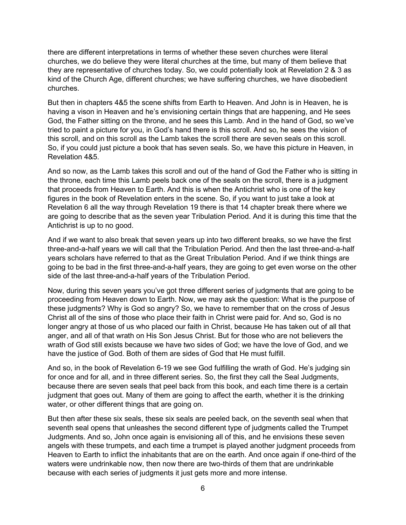there are different interpretations in terms of whether these seven churches were literal churches, we do believe they were literal churches at the time, but many of them believe that they are representative of churches today. So, we could potentially look at Revelation 2 & 3 as kind of the Church Age, different churches; we have suffering churches, we have disobedient churches.

But then in chapters 4&5 the scene shifts from Earth to Heaven. And John is in Heaven, he is having a vison in Heaven and he's envisioning certain things that are happening, and He sees God, the Father sitting on the throne, and he sees this Lamb. And in the hand of God, so we've tried to paint a picture for you, in God's hand there is this scroll. And so, he sees the vision of this scroll, and on this scroll as the Lamb takes the scroll there are seven seals on this scroll. So, if you could just picture a book that has seven seals. So, we have this picture in Heaven, in Revelation 4&5.

And so now, as the Lamb takes this scroll and out of the hand of God the Father who is sitting in the throne, each time this Lamb peels back one of the seals on the scroll, there is a judgment that proceeds from Heaven to Earth. And this is when the Antichrist who is one of the key figures in the book of Revelation enters in the scene. So, if you want to just take a look at Revelation 6 all the way through Revelation 19 there is that 14 chapter break there where we are going to describe that as the seven year Tribulation Period. And it is during this time that the Antichrist is up to no good.

And if we want to also break that seven years up into two different breaks, so we have the first three-and-a-half years we will call that the Tribulation Period. And then the last three-and-a-half years scholars have referred to that as the Great Tribulation Period. And if we think things are going to be bad in the first three-and-a-half years, they are going to get even worse on the other side of the last three-and-a-half years of the Tribulation Period.

Now, during this seven years you've got three different series of judgments that are going to be proceeding from Heaven down to Earth. Now, we may ask the question: What is the purpose of these judgments? Why is God so angry? So, we have to remember that on the cross of Jesus Christ all of the sins of those who place their faith in Christ were paid for. And so, God is no longer angry at those of us who placed our faith in Christ, because He has taken out of all that anger, and all of that wrath on His Son Jesus Christ. But for those who are not believers the wrath of God still exists because we have two sides of God; we have the love of God, and we have the justice of God. Both of them are sides of God that He must fulfill.

And so, in the book of Revelation 6-19 we see God fulfilling the wrath of God. He's judging sin for once and for all, and in three different series. So, the first they call the Seal Judgments, because there are seven seals that peel back from this book, and each time there is a certain judgment that goes out. Many of them are going to affect the earth, whether it is the drinking water, or other different things that are going on.

But then after these six seals, these six seals are peeled back, on the seventh seal when that seventh seal opens that unleashes the second different type of judgments called the Trumpet Judgments. And so, John once again is envisioning all of this, and he envisions these seven angels with these trumpets, and each time a trumpet is played another judgment proceeds from Heaven to Earth to inflict the inhabitants that are on the earth. And once again if one-third of the waters were undrinkable now, then now there are two-thirds of them that are undrinkable because with each series of judgments it just gets more and more intense.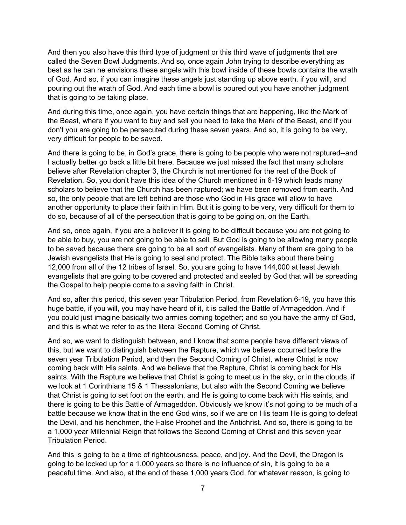And then you also have this third type of judgment or this third wave of judgments that are called the Seven Bowl Judgments. And so, once again John trying to describe everything as best as he can he envisions these angels with this bowl inside of these bowls contains the wrath of God. And so, if you can imagine these angels just standing up above earth, if you will, and pouring out the wrath of God. And each time a bowl is poured out you have another judgment that is going to be taking place.

And during this time, once again, you have certain things that are happening, like the Mark of the Beast, where if you want to buy and sell you need to take the Mark of the Beast, and if you don't you are going to be persecuted during these seven years. And so, it is going to be very, very difficult for people to be saved.

And there is going to be, in God's grace, there is going to be people who were not raptured--and I actually better go back a little bit here. Because we just missed the fact that many scholars believe after Revelation chapter 3, the Church is not mentioned for the rest of the Book of Revelation. So, you don't have this idea of the Church mentioned in 6-19 which leads many scholars to believe that the Church has been raptured; we have been removed from earth. And so, the only people that are left behind are those who God in His grace will allow to have another opportunity to place their faith in Him. But it is going to be very, very difficult for them to do so, because of all of the persecution that is going to be going on, on the Earth.

And so, once again, if you are a believer it is going to be difficult because you are not going to be able to buy, you are not going to be able to sell. But God is going to be allowing many people to be saved because there are going to be all sort of evangelists. Many of them are going to be Jewish evangelists that He is going to seal and protect. The Bible talks about there being 12,000 from all of the 12 tribes of Israel. So, you are going to have 144,000 at least Jewish evangelists that are going to be covered and protected and sealed by God that will be spreading the Gospel to help people come to a saving faith in Christ.

And so, after this period, this seven year Tribulation Period, from Revelation 6-19, you have this huge battle, if you will, you may have heard of it, it is called the Battle of Armageddon. And if you could just imagine basically two armies coming together; and so you have the army of God, and this is what we refer to as the literal Second Coming of Christ.

And so, we want to distinguish between, and I know that some people have different views of this, but we want to distinguish between the Rapture, which we believe occurred before the seven year Tribulation Period, and then the Second Coming of Christ, where Christ is now coming back with His saints. And we believe that the Rapture, Christ is coming back for His saints. With the Rapture we believe that Christ is going to meet us in the sky, or in the clouds, if we look at 1 Corinthians 15 & 1 Thessalonians, but also with the Second Coming we believe that Christ is going to set foot on the earth, and He is going to come back with His saints, and there is going to be this Battle of Armageddon. Obviously we know it's not going to be much of a battle because we know that in the end God wins, so if we are on His team He is going to defeat the Devil, and his henchmen, the False Prophet and the Antichrist. And so, there is going to be a 1,000 year Millennial Reign that follows the Second Coming of Christ and this seven year Tribulation Period.

And this is going to be a time of righteousness, peace, and joy. And the Devil, the Dragon is going to be locked up for a 1,000 years so there is no influence of sin, it is going to be a peaceful time. And also, at the end of these 1,000 years God, for whatever reason, is going to